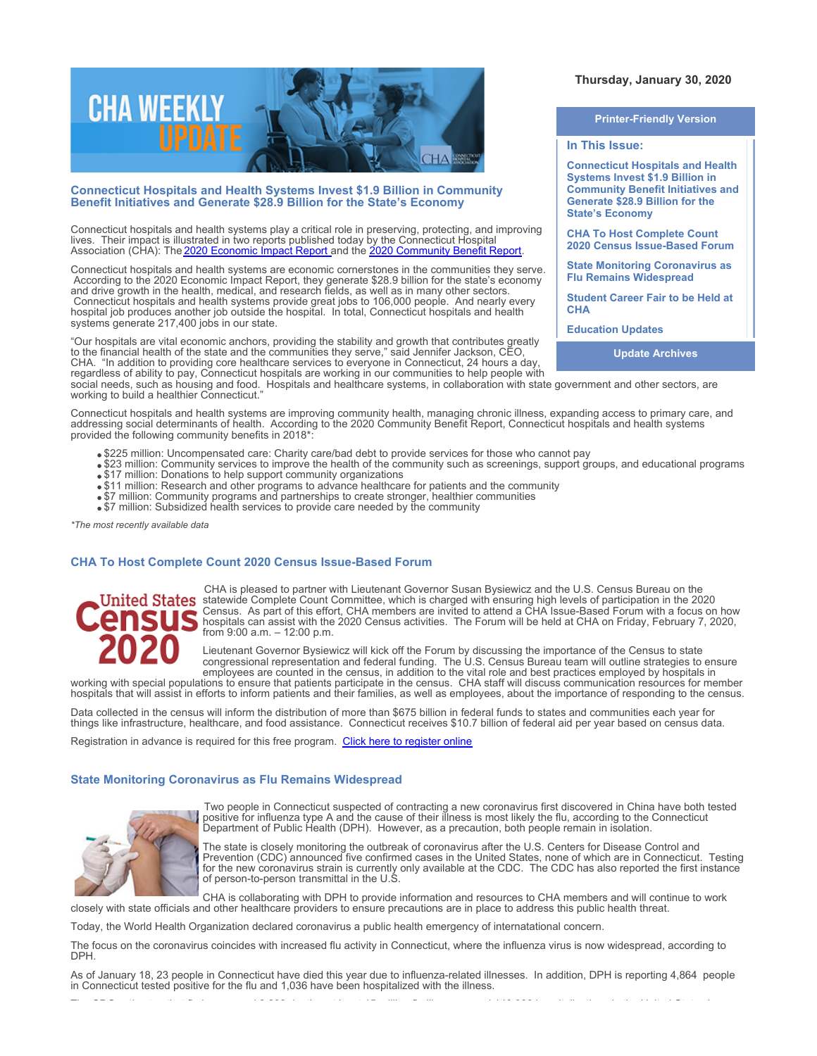

#### **Connecticut Hospitals and Health Systems Invest \$1.9 Billion in Community Benefit Initiatives and Generate \$28.9 Billion for the State's Economy**

Connecticut hospitals and health systems play a critical role in preserving, protecting, and improving lives. Their impact is illustrated in two reports published today by the Connecticut Hospital Association (CHA): The <u>2020 Economic Impact Report a</u>nd the <u>[2020 Community Benefit Report](http://documents.cthosp.org/9/2020%20CBR%20FINAL.pdf)</u>.

Connecticut hospitals and health systems are economic cornerstones in the communities they serve. According to the 2020 Economic Impact Report, they generate \$28.9 billion for the state's economy and drive growth in the health, medical, and research fields, as well as in many other sectors. Connecticut hospitals and health systems provide great jobs to 106,000 people. And nearly every hospital job produces another job outside the hospital. In total, Connecticut hospitals and health systems generate 217,400 jobs in our state.

"Our hospitals are vital economic anchors, providing the stability and growth that contributes greatly to the financial health of the state and the communities they serve," said Jennifer Jackson, CEO, CHA. "In addition to providing core healthcare services to everyone in Connecticut, 24 hours a day, regardless of ability to pay, Connecticut hospitals are working in our communities to help people with

social needs, such as housing and food. Hospitals and healthcare systems, in collaboration with state government and other sectors, are working to build a healthier Connecticut.'

Connecticut hospitals and health systems are improving community health, managing chronic illness, expanding access to primary care, and addressing social determinants of health. According to the 2020 Community Benefit Report, Connecticut hospitals and health systems provided the following community benefits in 2018\*:

- . \$225 million: Uncompensated care: Charity care/bad debt to provide services for those who cannot pay
- \$23 million: Community services to improve the health of the community such as screenings, support groups, and educational programs
- $\bullet$  \$17 million: Donations to help support community organizations
- \$11 million: Research and other programs to advance healthcare for patients and the community
- \$7 million: Community programs and partnerships to create stronger, healthier communities
- \$7 million: Subsidized health services to provide care needed by the community

*\*The most recently available data*

#### **CHA To Host Complete Count 2020 Census Issue-Based Forum**



CHA is pleased to partner with Lieutenant Governor Susan Bysiewicz and the U.S. Census Bureau on the statewide Complete Count Committee, which is charged with ensuring high levels of participation in the 2020 Census. As part of this effort, CHA members are invited to attend a CHA Issue-Based Forum with a focus on how hospitals can assist with the 2020 Census activities. The Forum will be held at CHA on Friday, February 7, 2020, from 9:00 a.m. – 12:00 p.m.

Lieutenant Governor Bysiewicz will kick off the Forum by discussing the importance of the Census to state congressional representation and federal funding. The U.S. Census Bureau team will outline strategies to ensure employees are counted in the census, in addition to the vital role and best practices employed by hospitals in

working with special populations to ensure that patients participate in the census. CHA staff will discuss communication resources for member hospitals that will assist in efforts to inform patients and their families, as well as employees, about the importance of responding to the census.

Data collected in the census will inform the distribution of more than \$675 billion in federal funds to states and communities each year for things like infrastructure, healthcare, and food assistance. Connecticut receives \$10.7 billion of federal aid per year based on census data.

Registration in advance is required for this free program. [Click here to register online](https://www.cthosp.org/eventcalendar/index.cfm?action=register&id=854&date=43868)

#### **State Monitoring Coronavirus as Flu Remains Widespread**



Two people in Connecticut suspected of contracting a new coronavirus first discovered in China have both tested positive for influenza type A and the cause of their illness is most likely the flu, according to the Connecticut Department of Public Health (DPH). However, as a precaution, both people remain in isolation.

The state is closely monitoring the outbreak of coronavirus after the U.S. Centers for Disease Control and Prevention (CDC) announced five confirmed cases in the United States, none of which are in Connecticut. Testing for the new coronavirus strain is currently only available at the CDC. The CDC has also reported the first instance of person-to-person transmittal in the U.S.

CHA is collaborating with DPH to provide information and resources to CHA members and will continue to work closely with state officials and other healthcare providers to ensure precautions are in place to address this public health threat.

Today, the World Health Organization declared coronavirus a public health emergency of internatational concern.

The focus on the coronavirus coincides with increased flu activity in Connecticut, where the influenza virus is now widespread, according to DPH.

As of January 18, 23 people in Connecticut have died this year due to influenza-related illnesses. In addition, DPH is reporting 4,864 people in Connecticut tested positive for the flu and 1,036 have been hospitalized with the illness.

## **Thursday, January 30, 2020**

# **Printer-Friendly Version**

#### **In This Issue:**

**Connecticut Hospitals and Health Systems Invest \$1.9 Billion in Community Benefit Initiatives and Generate \$28.9 Billion for the State's Economy** 

**CHA To Host Complete Count 2020 Census Issue-Based Forum** 

**State Monitoring Coronavirus as Flu Remains Widespread**

**Student Career Fair to be Held at CHA**

**Education Updates**

**Update Archives**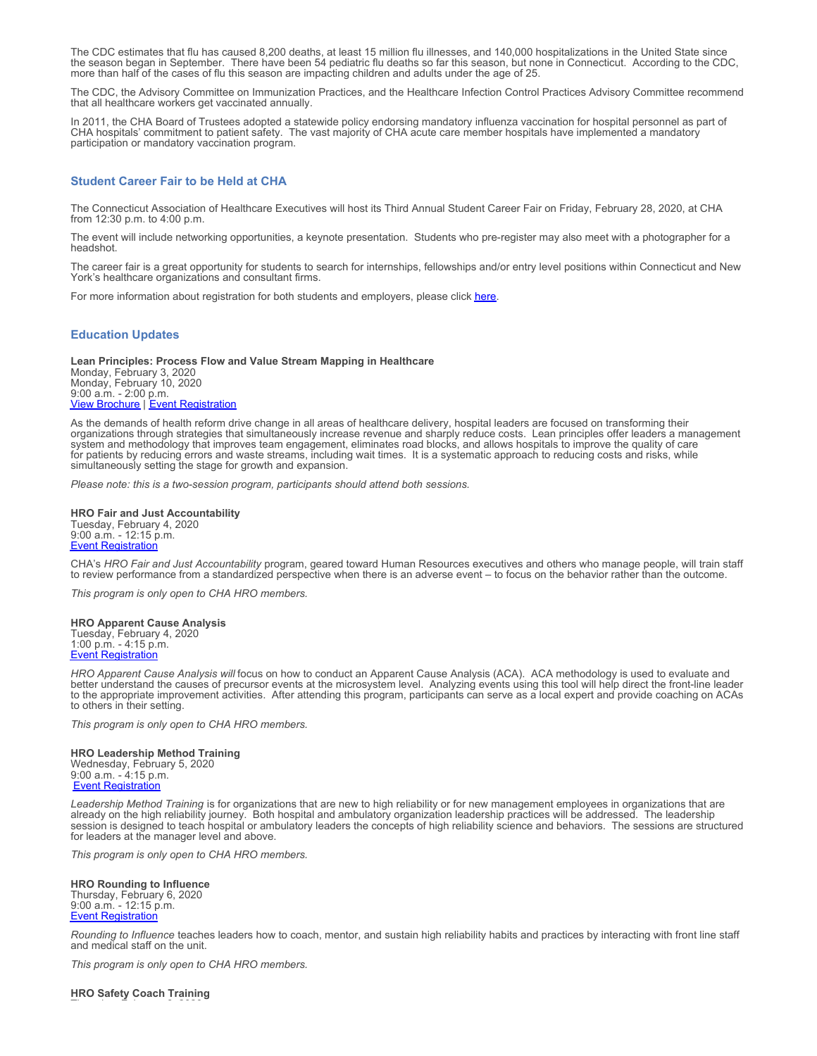The CDC estimates that flu has caused 8,200 deaths, at least 15 million flu illnesses, and 140,000 hospitalizations in the United State since the season began in September. There have been 54 pediatric flu deaths so far this season, but none in Connecticut. According to the CDC, more than half of the cases of flu this season are impacting children and adults under the age of 25.

The CDC, the Advisory Committee on Immunization Practices, and the Healthcare Infection Control Practices Advisory Committee recommend that all healthcare workers get vaccinated annually.

In 2011, the CHA Board of Trustees adopted a statewide policy endorsing mandatory influenza vaccination for hospital personnel as part of CHA hospitals' commitment to patient safety. The vast majority of CHA acute care member hospitals have implemented a mandatory participation or mandatory vaccination program.

#### **Student Career Fair to be Held at CHA**

The Connecticut Association of Healthcare Executives will host its Third Annual Student Career Fair on Friday, February 28, 2020, at CHA from 12:30 p.m. to 4:00 p.m.

The event will include networking opportunities, a keynote presentation. Students who pre-register may also meet with a photographer for a headshot.

The career fair is a great opportunity for students to search for internships, fellowships and/or entry level positions within Connecticut and New York's healthcare organizations and consultant firms.

For more information about registration for both students and employers, please click [here](https://www.ctahe.org/event/ctahes-3rd-annual-student-career-fair-friday-february-28-2020/).

#### **Education Updates**

**Lean Principles: Process Flow and Value Stream Mapping in Healthcare** Monday, February 3, 2020 Monday, February 10, 2020 9:00 a.m. - 2:00 p.m. **[View Brochure](https://cthosp.org/eventcalendar/uploads/Lean%20Principles%20brochure-Feb2020.pdf) | [Event Registration](https://cthosp.org/eventcalendar/index.cfm?action=register&date=43864&id=840)** 

As the demands of health reform drive change in all areas of healthcare delivery, hospital leaders are focused on transforming their organizations through strategies that simultaneously increase revenue and sharply reduce costs. Lean principles offer leaders a management system and methodology that improves team engagement, eliminates road blocks, and allows hospitals to improve the quality of care for patients by reducing errors and waste streams, including wait times. It is a systematic approach to reducing costs and risks, while simultaneously setting the stage for growth and expansion.

*Please note: this is a two-session program, participants should attend both sessions.* 

**HRO Fair and Just Accountability** Tuesday, February 4, 2020 9:00 a.m. - 12:15 p.m. **[Event Registration](https://cthosp.org/eventcalendar/index.cfm?action=register&date=43865&id=845)** 

CHA's *HRO Fair and Just Accountability* program, geared toward Human Resources executives and others who manage people, will train staff to review performance from a standardized perspective when there is an adverse event – to focus on the behavior rather than the outcome.

*This program is only open to CHA HRO members.*

#### **HRO Apparent Cause Analysis** Tuesday, February 4, 2020 1:00 p.m. - 4:15 p.m. [Event Registration](https://cthosp.org/eventcalendar/index.cfm?action=register&date=43865&id=846)

*HRO Apparent Cause Analysis will* focus on how to conduct an Apparent Cause Analysis (ACA). ACA methodology is used to evaluate and better understand the causes of precursor events at the microsystem level. Analyzing events using this tool will help direct the front-line leader to the appropriate improvement activities. After attending this program, participants can serve as a local expert and provide coaching on ACAs to others in their setting.

*This program is only open to CHA HRO members.*

### **HRO Leadership Method Training**

Wednesday, February 5, 2020 9:00 a.m. - 4:15 p.m. **[Event Registration](https://cthosp.org/eventcalendar/index.cfm?action=register&date=43866&id=847)** 

*Leadership Method Training* is for organizations that are new to high reliability or for new management employees in organizations that are already on the high reliability journey. Both hospital and ambulatory organization leadership practices will be addressed. The leadership session is designed to teach hospital or ambulatory leaders the concepts of high reliability science and behaviors. The sessions are structured for leaders at the manager level and above.

*This program is only open to CHA HRO members.*

**HRO Rounding to Influence** Thursday, February 6, 2020 9:00 a.m. - 12:15 p.m. **[Event Registration](https://cthosp.org/eventcalendar/index.cfm?action=register&date=43867&id=848)** 

*Rounding to Influence* teaches leaders how to coach, mentor, and sustain high reliability habits and practices by interacting with front line staff and medical staff on the unit.

*This program is only open to CHA HRO members.*

**HRO Safety Coach Training**